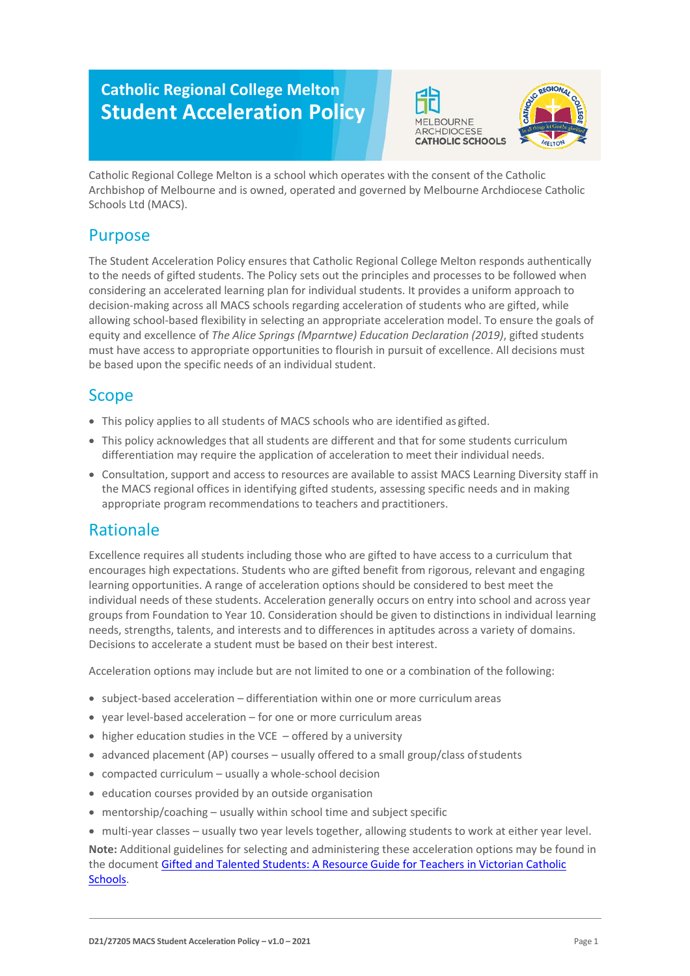# **Catholic Regional College Melton Student Acceleration Policy**





Catholic Regional College Melton is a school which operates with the consent of the Catholic Archbishop of Melbourne and is owned, operated and governed by Melbourne Archdiocese Catholic Schools Ltd (MACS).

# Purpose

The Student Acceleration Policy ensures that Catholic Regional College Melton responds authentically to the needs of gifted students. The Policy sets out the principles and processes to be followed when considering an accelerated learning plan for individual students. It provides a uniform approach to decision-making across all MACS schools regarding acceleration of students who are gifted, while allowing school-based flexibility in selecting an appropriate acceleration model. To ensure the goals of equity and excellence of *The Alice Springs (Mparntwe) Education Declaration (2019)*, gifted students must have access to appropriate opportunities to flourish in pursuit of excellence. All decisions must be based upon the specific needs of an individual student.

# Scope

- This policy applies to all students of MACS schools who are identified as gifted.
- This policy acknowledges that all students are different and that for some students curriculum differentiation may require the application of acceleration to meet their individual needs.
- Consultation, support and access to resources are available to assist MACS Learning Diversity staff in the MACS regional offices in identifying gifted students, assessing specific needs and in making appropriate program recommendations to teachers and practitioners.

# Rationale

Excellence requires all students including those who are gifted to have access to a curriculum that encourages high expectations. Students who are gifted benefit from rigorous, relevant and engaging learning opportunities. A range of acceleration options should be considered to best meet the individual needs of these students. Acceleration generally occurs on entry into school and across year groups from Foundation to Year 10. Consideration should be given to distinctions in individual learning needs, strengths, talents, and interests and to differences in aptitudes across a variety of domains. Decisions to accelerate a student must be based on their best interest.

Acceleration options may include but are not limited to one or a combination of the following:

- subject-based acceleration differentiation within one or more curriculum areas
- year level-based acceleration for one or more curriculum areas
- higher education studies in the VCE  $-$  offered by a university
- advanced placement (AP) courses usually offered to a small group/class of students
- compacted curriculum usually a whole-school decision
- education courses provided by an outside organisation
- mentorship/coaching  $-$  usually within school time and subject specific
- multi-year classes usually two year levels together, allowing students to work at either year level. **Note:** Additional guidelines for selecting and administering these acceleration options may be found in the document [Gifted and Talented Students: A Resource Guide for Teachers in Victorian Catholic](https://www.cecv.catholic.edu.au/getmedia/0d923109-6fb2-4f32-a2e6-c437073dfccf/Gifted-and-Talented-handbook.aspx?ext=.pdf)  [Schools.](https://www.cecv.catholic.edu.au/getmedia/0d923109-6fb2-4f32-a2e6-c437073dfccf/Gifted-and-Talented-handbook.aspx?ext=.pdf)

**D21/27205 MACS Student Acceleration Policy – v1.0 – 2021** Page 1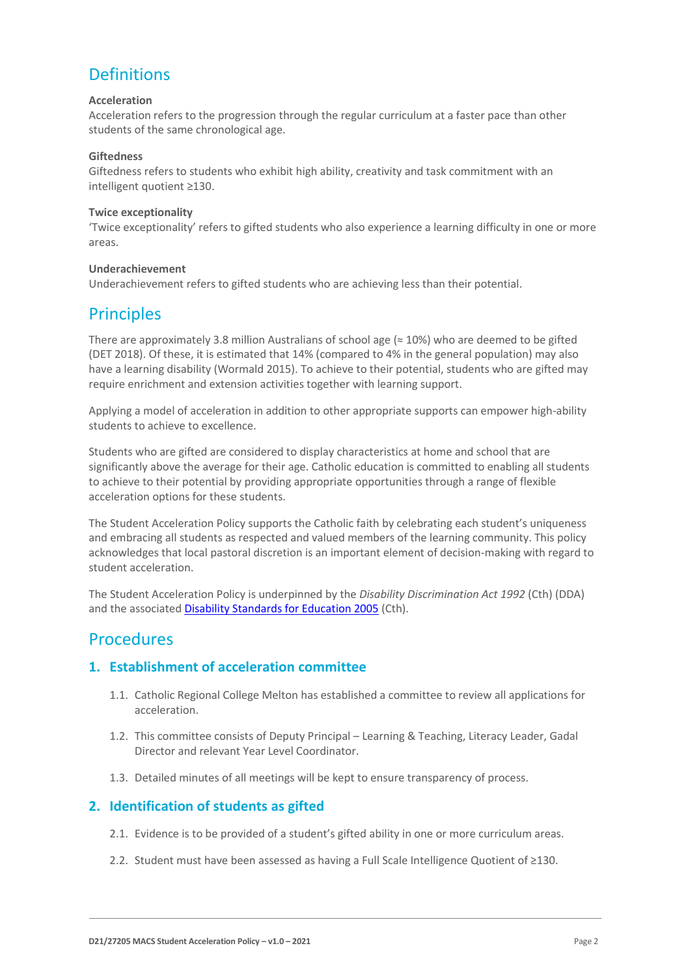# **Definitions**

#### **Acceleration**

Acceleration refers to the progression through the regular curriculum at a faster pace than other students of the same chronological age.

#### **Giftedness**

Giftedness refers to students who exhibit high ability, creativity and task commitment with an intelligent quotient ≥130.

#### **Twice exceptionality**

'Twice exceptionality' refers to gifted students who also experience a learning difficulty in one or more areas.

#### **Underachievement**

Underachievement refers to gifted students who are achieving less than their potential.

# **Principles**

There are approximately 3.8 million Australians of school age ( $\approx$  10%) who are deemed to be gifted (DET 2018). Of these, it is estimated that 14% (compared to 4% in the general population) may also have a learning disability (Wormald 2015). To achieve to their potential, students who are gifted may require enrichment and extension activities together with learning support.

Applying a model of acceleration in addition to other appropriate supports can empower high-ability students to achieve to excellence.

Students who are gifted are considered to display characteristics at home and school that are significantly above the average for their age. Catholic education is committed to enabling all students to achieve to their potential by providing appropriate opportunities through a range of flexible acceleration options for these students.

The Student Acceleration Policy supports the Catholic faith by celebrating each student's uniqueness and embracing all students as respected and valued members of the learning community. This policy acknowledges that local pastoral discretion is an important element of decision-making with regard to student acceleration.

The Student Acceleration Policy is underpinned by the *Disability Discrimination Act 1992* (Cth) (DDA) and the associated [Disability Standards for Education 2005](https://www.education.gov.au/disability-standards-education-2005) (Cth).

## Procedures

## **1. Establishment of acceleration committee**

- 1.1. Catholic Regional College Melton has established a committee to review all applications for acceleration.
- 1.2. This committee consists of Deputy Principal Learning & Teaching, Literacy Leader, Gadal Director and relevant Year Level Coordinator.
- 1.3. Detailed minutes of all meetings will be kept to ensure transparency of process.

## **2. Identification of students as gifted**

- 2.1. Evidence is to be provided of a student's gifted ability in one or more curriculum areas.
- 2.2. Student must have been assessed as having a Full Scale Intelligence Quotient of ≥130.